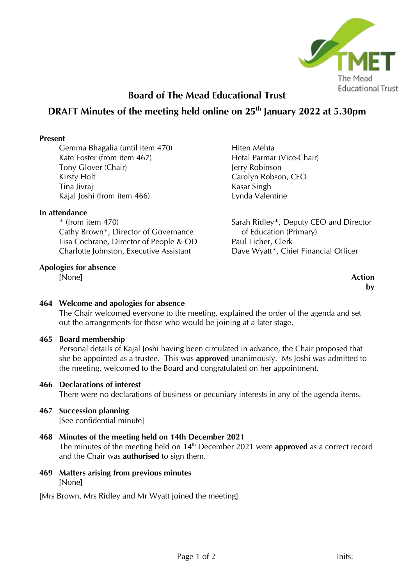

# **Board of The Mead Educational Trust**

# **DRAFT Minutes of the meeting held online on 25th January 2022 at 5.30pm**

#### **Present**

Gemma Bhagalia (until item 470) Kate Foster (from item 467) Tony Glover (Chair) Kirsty Holt Tina Jivraj Kajal Joshi (from item 466)

#### **In attendance**

\* (from item 470) Cathy Brown\*, Director of Governance Lisa Cochrane, Director of People & OD Charlotte Johnston, Executive Assistant

#### **Apologies for absence**

[None] **Action**

Hiten Mehta Hetal Parmar (Vice-Chair) Jerry Robinson Carolyn Robson, CEO Kasar Singh Lynda Valentine

Sarah Ridley\*, Deputy CEO and Director of Education (Primary) Paul Ticher, Clerk Dave Wyatt\*, Chief Financial Officer

**by**

### **464 Welcome and apologies for absence**

The Chair welcomed everyone to the meeting, explained the order of the agenda and set out the arrangements for those who would be joining at a later stage.

### **465 Board membership**

Personal details of Kajal Joshi having been circulated in advance, the Chair proposed that she be appointed as a trustee. This was **approved** unanimously. Ms Joshi was admitted to the meeting, welcomed to the Board and congratulated on her appointment.

### **466 Declarations of interest**

There were no declarations of business or pecuniary interests in any of the agenda items.

### **467 Succession planning**

[See confidential minute]

#### **468 Minutes of the meeting held on 14th December 2021** The minutes of the meeting held on 14<sup>th</sup> December 2021 were **approved** as a correct record and the Chair was **authorised** to sign them.

**469 Matters arising from previous minutes** [None]

[Mrs Brown, Mrs Ridley and Mr Wyatt joined the meeting]